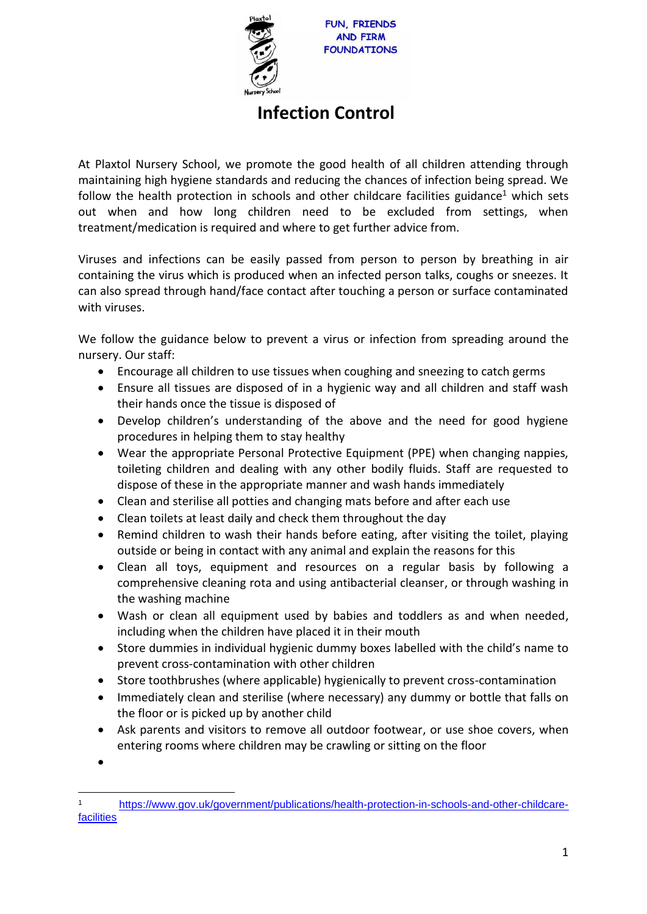

UN, FRIENDS **AND FIRM FOUNDATIONS** 

## **Infection Control**

At Plaxtol Nursery School, we promote the good health of all children attending through maintaining high hygiene standards and reducing the chances of infection being spread. We follow the health protection in schools and other childcare facilities guidance<sup>1</sup> which sets out when and how long children need to be excluded from settings, when treatment/medication is required and where to get further advice from.

Viruses and infections can be easily passed from person to person by breathing in air containing the virus which is produced when an infected person talks, coughs or sneezes. It can also spread through hand/face contact after touching a person or surface contaminated with viruses.

We follow the guidance below to prevent a virus or infection from spreading around the nursery. Our staff:

- Encourage all children to use tissues when coughing and sneezing to catch germs
- Ensure all tissues are disposed of in a hygienic way and all children and staff wash their hands once the tissue is disposed of
- Develop children's understanding of the above and the need for good hygiene procedures in helping them to stay healthy
- Wear the appropriate Personal Protective Equipment (PPE) when changing nappies, toileting children and dealing with any other bodily fluids. Staff are requested to dispose of these in the appropriate manner and wash hands immediately
- Clean and sterilise all potties and changing mats before and after each use
- Clean toilets at least daily and check them throughout the day
- Remind children to wash their hands before eating, after visiting the toilet, playing outside or being in contact with any animal and explain the reasons for this
- Clean all toys, equipment and resources on a regular basis by following a comprehensive cleaning rota and using antibacterial cleanser, or through washing in the washing machine
- Wash or clean all equipment used by babies and toddlers as and when needed, including when the children have placed it in their mouth
- Store dummies in individual hygienic dummy boxes labelled with the child's name to prevent cross-contamination with other children
- Store toothbrushes (where applicable) hygienically to prevent cross-contamination
- Immediately clean and sterilise (where necessary) any dummy or bottle that falls on the floor or is picked up by another child
- Ask parents and visitors to remove all outdoor footwear, or use shoe covers, when entering rooms where children may be crawling or sitting on the floor

•

<sup>1</sup> [https://www.gov.uk/government/publications/health-protection-in-schools-and-other-childcare](https://www.gov.uk/government/publications/health-protection-in-schools-and-other-childcare-facilities)[facilities](https://www.gov.uk/government/publications/health-protection-in-schools-and-other-childcare-facilities)